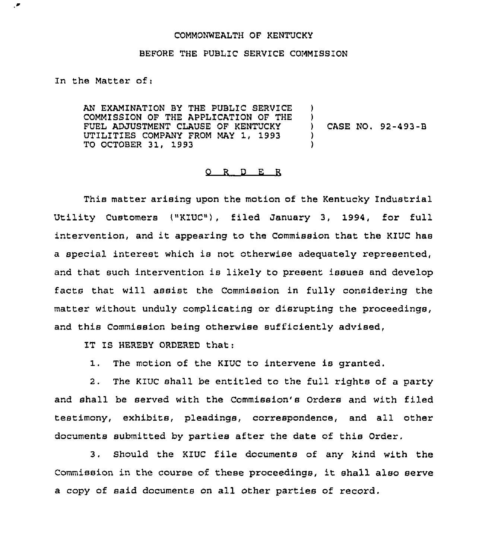## COMMONWEALTH OF KENTUCKY

## BEFORE THE PUBLIC SERVICE COMMISSION

In the Matter of:

AN EXAMINATION BY THE PUBLIC SERVICE COMMISSION OF THE APPLICATION OF THE FUEL ADJUSTMENT CLAUSE OF KENTUCKY UTILITIES COMPANY FROM MAY 1, 1993 TO OCTOBER 31, 1993 ) ) ) CASE NO. 92-493-B ) )

## $Q$  R D E R

This matter arising upon the motion of the Kentucky Industrial Utility Customers ("KIUC"}, filed January 3, 1994, for full intervention, and it appearing to the Commission that the KIUC has a special interest which is not otherwise adequately represented, and that such intervention is likely to present issues and develop facts that will assist the Commission in fully considering the matter without unduly complicating or disrupting the proceedings, and this Commission being otherwise sufficiently advised,

IT IS HEREBY ORDERED that:

1. The motion of the KIUC to intervene is granted.

2. The KIUC shall be entitled to the full rights of a party and shall be served with the Commission's Orders and with filed testimony, exhibits, pleadings, correspondence, and all other documents submitted by parties after the date of this Order.

3. Should the KlUC file documents of any kind with the Commission in the course of these proceedings, it shall also serve a copy of said documents on all other parties of record.